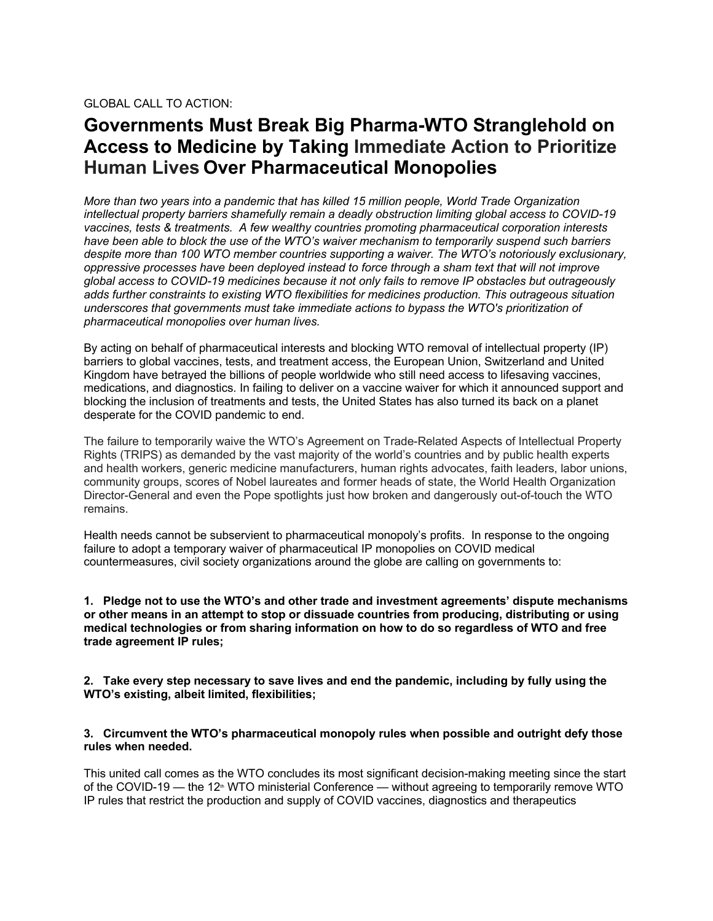## **Governments Must Break Big Pharma-WTO Stranglehold on Access to Medicine by Taking Immediate Action to Prioritize Human Lives Over Pharmaceutical Monopolies**

*More than two years into a pandemic that has killed 15 million people, World Trade Organization intellectual property barriers shamefully remain a deadly obstruction limiting global access to COVID-19 vaccines, tests & treatments. A few wealthy countries promoting pharmaceutical corporation interests have been able to block the use of the WTO's waiver mechanism to temporarily suspend such barriers despite more than 100 WTO member countries supporting a waiver. The WTO's notoriously exclusionary, oppressive processes have been deployed instead to force through a sham text that will not improve global access to COVID-19 medicines because it not only fails to remove IP obstacles but outrageously adds further constraints to existing WTO flexibilities for medicines production. This outrageous situation underscores that governments must take immediate actions to bypass the WTO's prioritization of pharmaceutical monopolies over human lives.*

By acting on behalf of pharmaceutical interests and blocking WTO removal of intellectual property (IP) barriers to global vaccines, tests, and treatment access, the European Union, Switzerland and United Kingdom have betrayed the billions of people worldwide who still need access to lifesaving vaccines, medications, and diagnostics. In failing to deliver on a vaccine waiver for which it announced support and blocking the inclusion of treatments and tests, the United States has also turned its back on a planet desperate for the COVID pandemic to end.

The failure to temporarily waive the WTO's Agreement on Trade-Related Aspects of Intellectual Property Rights (TRIPS) as demanded by the vast majority of the world's countries and by public health experts and health workers, generic medicine manufacturers, human rights advocates, faith leaders, labor unions, community groups, scores of Nobel laureates and former heads of state, the World Health Organization Director-General and even the Pope spotlights just how broken and dangerously out-of-touch the WTO remains.

Health needs cannot be subservient to pharmaceutical monopoly's profits. In response to the ongoing failure to adopt a temporary waiver of pharmaceutical IP monopolies on COVID medical countermeasures, civil society organizations around the globe are calling on governments to:

**1. Pledge not to use the WTO's and other trade and investment agreements' dispute mechanisms or other means in an attempt to stop or dissuade countries from producing, distributing or using medical technologies or from sharing information on how to do so regardless of WTO and free trade agreement IP rules;**

**2. Take every step necessary to save lives and end the pandemic, including by fully using the WTO's existing, albeit limited, flexibilities;**

## **3. Circumvent the WTO's pharmaceutical monopoly rules when possible and outright defy those rules when needed.**

This united call comes as the WTO concludes its most significant decision-making meeting since the start of the COVID-19 — the 12<sup>th</sup> WTO ministerial Conference — without agreeing to temporarily remove WTO IP rules that restrict the production and supply of COVID vaccines, diagnostics and therapeutics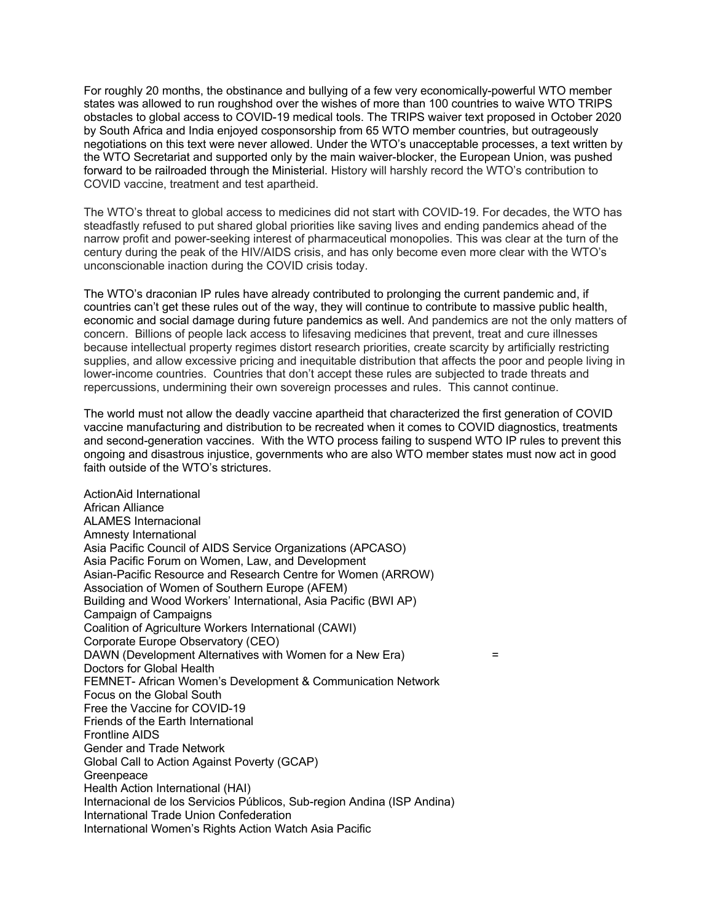For roughly 20 months, the obstinance and bullying of a few very economically-powerful WTO member states was allowed to run roughshod over the wishes of more than 100 countries to waive WTO TRIPS obstacles to global access to COVID-19 medical tools. The TRIPS waiver text proposed in October 2020 by South Africa and India enjoyed cosponsorship from 65 WTO member countries, but outrageously negotiations on this text were never allowed. Under the WTO's unacceptable processes, a text written by the WTO Secretariat and supported only by the main waiver-blocker, the European Union, was pushed forward to be railroaded through the Ministerial. History will harshly record the WTO's contribution to COVID vaccine, treatment and test apartheid.

The WTO's threat to global access to medicines did not start with COVID-19. For decades, the WTO has steadfastly refused to put shared global priorities like saving lives and ending pandemics ahead of the narrow profit and power-seeking interest of pharmaceutical monopolies. This was clear at the turn of the century during the peak of the HIV/AIDS crisis, and has only become even more clear with the WTO's unconscionable inaction during the COVID crisis today.

The WTO's draconian IP rules have already contributed to prolonging the current pandemic and, if countries can't get these rules out of the way, they will continue to contribute to massive public health, economic and social damage during future pandemics as well. And pandemics are not the only matters of concern. Billions of people lack access to lifesaving medicines that prevent, treat and cure illnesses because intellectual property regimes distort research priorities, create scarcity by artificially restricting supplies, and allow excessive pricing and inequitable distribution that affects the poor and people living in lower-income countries. Countries that don't accept these rules are subjected to trade threats and repercussions, undermining their own sovereign processes and rules. This cannot continue.

The world must not allow the deadly vaccine apartheid that characterized the first generation of COVID vaccine manufacturing and distribution to be recreated when it comes to COVID diagnostics, treatments and second-generation vaccines. With the WTO process failing to suspend WTO IP rules to prevent this ongoing and disastrous injustice, governments who are also WTO member states must now act in good faith outside of the WTO's strictures.

ActionAid International African Alliance ALAMES Internacional Amnesty International Asia Pacific Council of AIDS Service Organizations (APCASO) Asia Pacific Forum on Women, Law, and Development Asian-Pacific Resource and Research Centre for Women (ARROW) Association of Women of Southern Europe (AFEM) Building and Wood Workers' International, Asia Pacific (BWI AP) Campaign of Campaigns Coalition of Agriculture Workers International (CAWI) Corporate Europe Observatory (CEO) DAWN (Development Alternatives with Women for a New Era) = Doctors for Global Health FEMNET- African Women's Development & Communication Network Focus on the Global South Free the Vaccine for COVID-19 Friends of the Earth International Frontline AIDS Gender and Trade Network Global Call to Action Against Poverty (GCAP) **Greenpeace** Health Action International (HAI) Internacional de los Servicios Públicos, Sub-region Andina (ISP Andina) International Trade Union Confederation International Women's Rights Action Watch Asia Pacific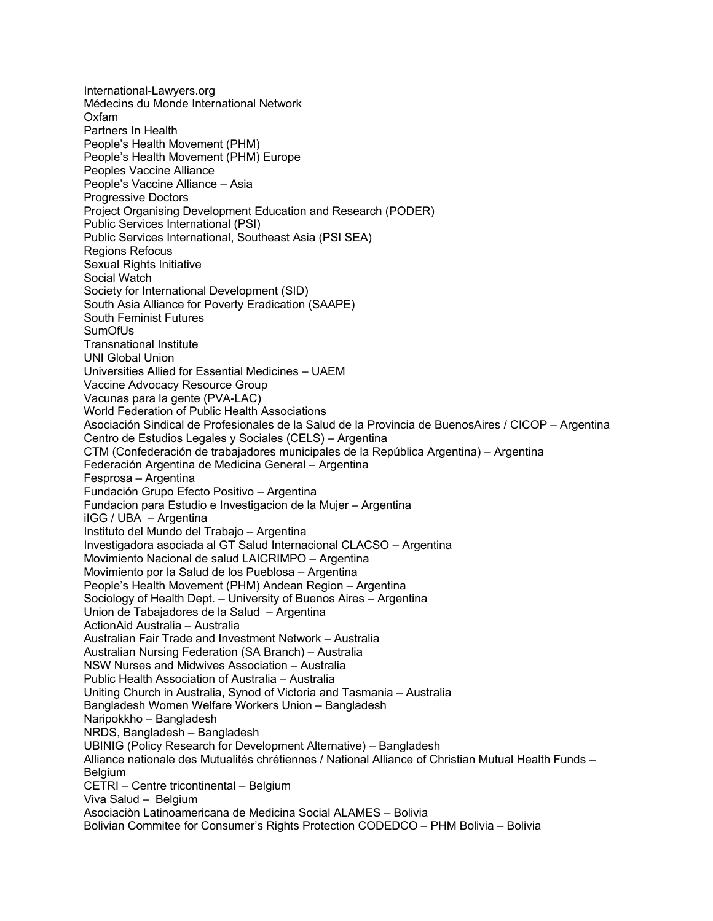International-Lawyers.org Médecins du Monde International Network Oxfam Partners In Health People's Health Movement (PHM) People's Health Movement (PHM) Europe Peoples Vaccine Alliance People's Vaccine Alliance – Asia Progressive Doctors Project Organising Development Education and Research (PODER) Public Services International (PSI) Public Services International, Southeast Asia (PSI SEA) Regions Refocus Sexual Rights Initiative Social Watch Society for International Development (SID) South Asia Alliance for Poverty Eradication (SAAPE) South Feminist Futures SumOfUs Transnational Institute UNI Global Union Universities Allied for Essential Medicines – UAEM Vaccine Advocacy Resource Group Vacunas para la gente (PVA-LAC) World Federation of Public Health Associations Asociación Sindical de Profesionales de la Salud de la Provincia de BuenosAires / CICOP – Argentina Centro de Estudios Legales y Sociales (CELS) – Argentina CTM (Confederación de trabajadores municipales de la República Argentina) – Argentina Federación Argentina de Medicina General – Argentina Fesprosa – Argentina Fundación Grupo Efecto Positivo – Argentina Fundacion para Estudio e Investigacion de la Mujer – Argentina iIGG / UBA – Argentina Instituto del Mundo del Trabajo – Argentina Investigadora asociada al GT Salud Internacional CLACSO – Argentina Movimiento Nacional de salud LAICRIMPO – Argentina Movimiento por la Salud de los Pueblosa – Argentina People's Health Movement (PHM) Andean Region – Argentina Sociology of Health Dept. – University of Buenos Aires – Argentina Union de Tabajadores de la Salud – Argentina ActionAid Australia – Australia Australian Fair Trade and Investment Network – Australia Australian Nursing Federation (SA Branch) – Australia NSW Nurses and Midwives Association – Australia Public Health Association of Australia – Australia Uniting Church in Australia, Synod of Victoria and Tasmania – Australia Bangladesh Women Welfare Workers Union – Bangladesh Naripokkho – Bangladesh NRDS, Bangladesh – Bangladesh UBINIG (Policy Research for Development Alternative) – Bangladesh Alliance nationale des Mutualités chrétiennes / National Alliance of Christian Mutual Health Funds – Belgium CETRI – Centre tricontinental – Belgium Viva Salud – Belgium Asociaciòn Latinoamericana de Medicina Social ALAMES – Bolivia Bolivian Commitee for Consumer's Rights Protection CODEDCO – PHM Bolivia – Bolivia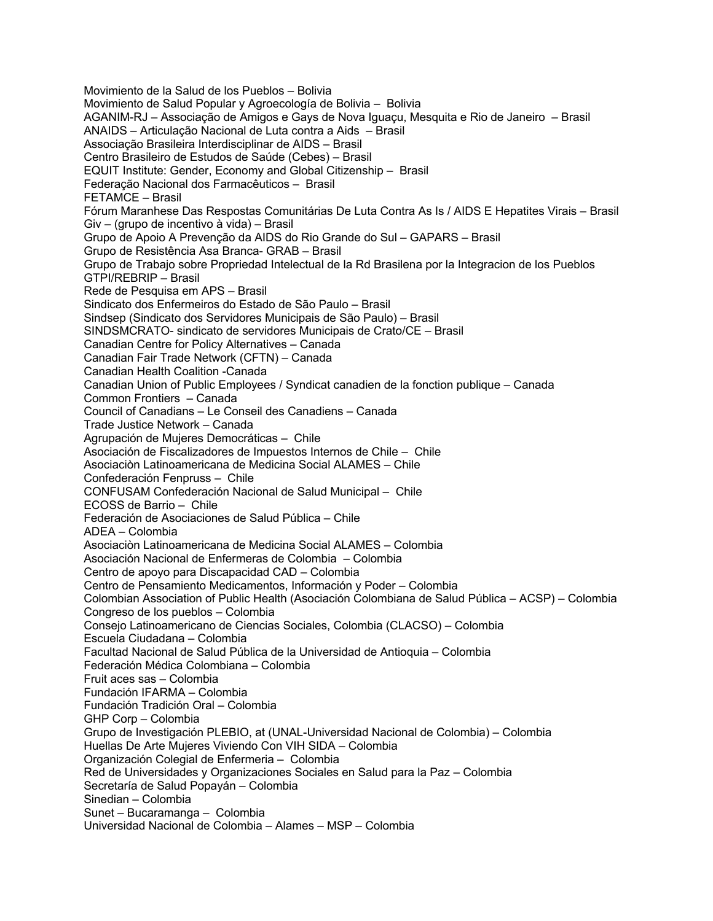Movimiento de la Salud de los Pueblos – Bolivia Movimiento de Salud Popular y Agroecología de Bolivia – Bolivia AGANIM-RJ – Associação de Amigos e Gays de Nova Iguaçu, Mesquita e Rio de Janeiro – Brasil ANAIDS – Articulação Nacional de Luta contra a Aids – Brasil Associação Brasileira Interdisciplinar de AIDS – Brasil Centro Brasileiro de Estudos de Saúde (Cebes) – Brasil EQUIT Institute: Gender, Economy and Global Citizenship – Brasil Federação Nacional dos Farmacêuticos – Brasil FETAMCE – Brasil Fórum Maranhese Das Respostas Comunitárias De Luta Contra As Is / AIDS E Hepatites Virais – Brasil Giv – (grupo de incentivo à vida) – Brasil Grupo de Apoio A Prevenção da AIDS do Rio Grande do Sul – GAPARS – Brasil Grupo de Resistência Asa Branca- GRAB – Brasil Grupo de Trabajo sobre Propriedad Intelectual de la Rd Brasilena por la Integracion de los Pueblos GTPI/REBRIP – Brasil Rede de Pesquisa em APS – Brasil Sindicato dos Enfermeiros do Estado de São Paulo – Brasil Sindsep (Sindicato dos Servidores Municipais de São Paulo) – Brasil SINDSMCRATO- sindicato de servidores Municipais de Crato/CE – Brasil Canadian Centre for Policy Alternatives – Canada Canadian Fair Trade Network (CFTN) – Canada Canadian Health Coalition -Canada Canadian Union of Public Employees / Syndicat canadien de la fonction publique – Canada Common Frontiers – Canada Council of Canadians – Le Conseil des Canadiens – Canada Trade Justice Network – Canada Agrupación de Mujeres Democráticas – Chile Asociación de Fiscalizadores de Impuestos Internos de Chile – Chile Asociaciòn Latinoamericana de Medicina Social ALAMES – Chile Confederación Fenpruss – Chile CONFUSAM Confederación Nacional de Salud Municipal – Chile ECOSS de Barrio – Chile Federación de Asociaciones de Salud Pública – Chile ADEA – Colombia Asociaciòn Latinoamericana de Medicina Social ALAMES – Colombia Asociación Nacional de Enfermeras de Colombia – Colombia Centro de apoyo para Discapacidad CAD – Colombia Centro de Pensamiento Medicamentos, Información y Poder – Colombia Colombian Association of Public Health (Asociación Colombiana de Salud Pública – ACSP) – Colombia Congreso de los pueblos – Colombia Consejo Latinoamericano de Ciencias Sociales, Colombia (CLACSO) – Colombia Escuela Ciudadana – Colombia Facultad Nacional de Salud Pública de la Universidad de Antioquia – Colombia Federación Médica Colombiana – Colombia Fruit aces sas – Colombia Fundación IFARMA – Colombia Fundación Tradición Oral – Colombia GHP Corp – Colombia Grupo de Investigación PLEBIO, at (UNAL-Universidad Nacional de Colombia) – Colombia Huellas De Arte Mujeres Viviendo Con VIH SIDA – Colombia Organización Colegial de Enfermeria – Colombia Red de Universidades y Organizaciones Sociales en Salud para la Paz – Colombia Secretaría de Salud Popayán – Colombia Sinedian – Colombia Sunet – Bucaramanga – Colombia Universidad Nacional de Colombia – Alames – MSP – Colombia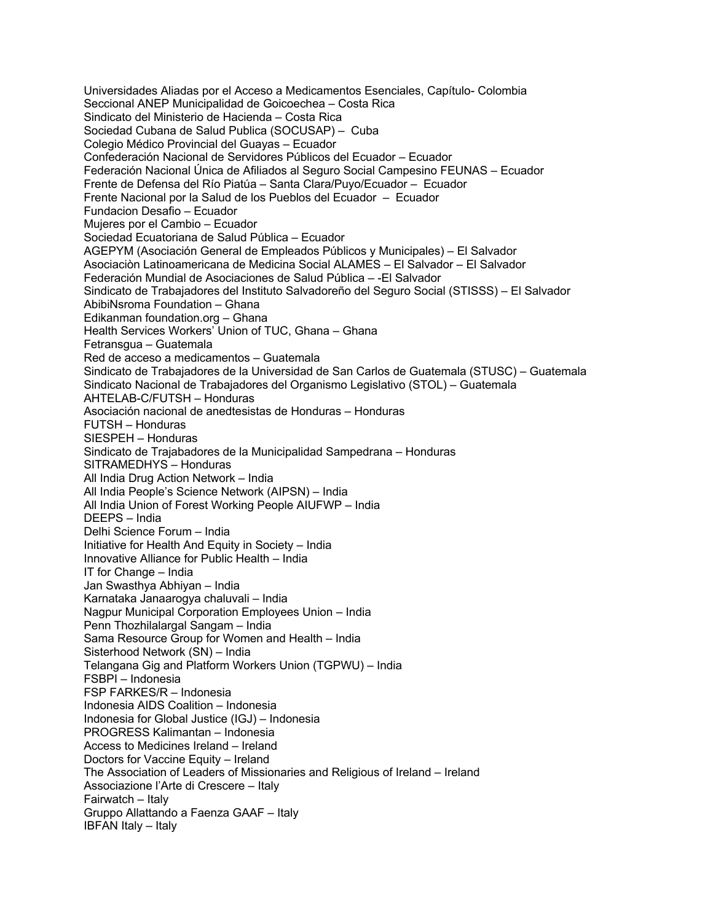Universidades Aliadas por el Acceso a Medicamentos Esenciales, Capítulo- Colombia Seccional ANEP Municipalidad de Goicoechea – Costa Rica Sindicato del Ministerio de Hacienda – Costa Rica Sociedad Cubana de Salud Publica (SOCUSAP) – Cuba Colegio Médico Provincial del Guayas – Ecuador Confederación Nacional de Servidores Públicos del Ecuador – Ecuador Federación Nacional Única de Afiliados al Seguro Social Campesino FEUNAS – Ecuador Frente de Defensa del Río Piatúa – Santa Clara/Puyo/Ecuador – Ecuador Frente Nacional por la Salud de los Pueblos del Ecuador – Ecuador Fundacion Desafio – Ecuador Mujeres por el Cambio – Ecuador Sociedad Ecuatoriana de Salud Pública – Ecuador AGEPYM (Asociación General de Empleados Públicos y Municipales) – El Salvador Asociaciòn Latinoamericana de Medicina Social ALAMES – El Salvador – El Salvador Federación Mundial de Asociaciones de Salud Pública – -El Salvador Sindicato de Trabajadores del Instituto Salvadoreño del Seguro Social (STISSS) – El Salvador AbibiNsroma Foundation – Ghana Edikanman foundation.org – Ghana Health Services Workers' Union of TUC, Ghana – Ghana Fetransgua – Guatemala Red de acceso a medicamentos – Guatemala Sindicato de Trabajadores de la Universidad de San Carlos de Guatemala (STUSC) – Guatemala Sindicato Nacional de Trabajadores del Organismo Legislativo (STOL) – Guatemala AHTELAB-C/FUTSH – Honduras Asociación nacional de anedtesistas de Honduras – Honduras FUTSH – Honduras SIESPEH – Honduras Sindicato de Trajabadores de la Municipalidad Sampedrana – Honduras SITRAMEDHYS – Honduras All India Drug Action Network – India All India People's Science Network (AIPSN) – India All India Union of Forest Working People AIUFWP – India DEEPS – India Delhi Science Forum – India Initiative for Health And Equity in Society – India Innovative Alliance for Public Health – India IT for Change – India Jan Swasthya Abhiyan – India Karnataka Janaarogya chaluvali – India Nagpur Municipal Corporation Employees Union – India Penn Thozhilalargal Sangam – India Sama Resource Group for Women and Health – India Sisterhood Network (SN) – India Telangana Gig and Platform Workers Union (TGPWU) – India FSBPI – Indonesia FSP FARKES/R – Indonesia Indonesia AIDS Coalition – Indonesia Indonesia for Global Justice (IGJ) – Indonesia PROGRESS Kalimantan – Indonesia Access to Medicines Ireland – Ireland Doctors for Vaccine Equity – Ireland The Association of Leaders of Missionaries and Religious of Ireland – Ireland Associazione l'Arte di Crescere – Italy Fairwatch – Italy Gruppo Allattando a Faenza GAAF – Italy IBFAN Italy – Italy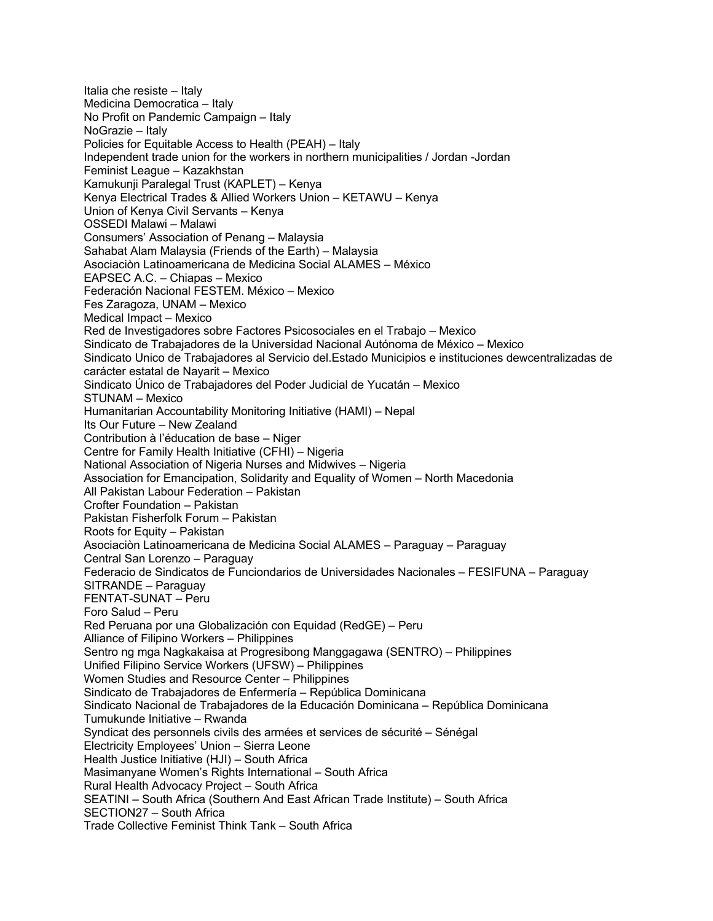Italia che resiste – Italy Medicina Democratica – Italy No Profit on Pandemic Campaign – Italy NoGrazie – Italy Policies for Equitable Access to Health (PEAH) – Italy Independent trade union for the workers in northern municipalities / Jordan -Jordan Feminist League – Kazakhstan Kamukunji Paralegal Trust (KAPLET) – Kenya Kenya Electrical Trades & Allied Workers Union – KETAWU – Kenya Union of Kenya Civil Servants – Kenya OSSEDI Malawi – Malawi Consumers' Association of Penang – Malaysia Sahabat Alam Malaysia (Friends of the Earth) – Malaysia Asociaciòn Latinoamericana de Medicina Social ALAMES – México EAPSEC A.C. – Chiapas – Mexico Federación Nacional FESTEM. México – Mexico Fes Zaragoza, UNAM – Mexico Medical Impact – Mexico Red de Investigadores sobre Factores Psicosociales en el Trabajo – Mexico Sindicato de Trabajadores de la Universidad Nacional Autónoma de México – Mexico Sindicato Unico de Trabajadores al Servicio del.Estado Municipios e instituciones dewcentralizadas de carácter estatal de Nayarit – Mexico Sindicato Único de Trabajadores del Poder Judicial de Yucatán – Mexico STUNAM – Mexico Humanitarian Accountability Monitoring Initiative (HAMI) – Nepal Its Our Future – New Zealand Contribution à l'éducation de base – Niger Centre for Family Health Initiative (CFHI) – Nigeria National Association of Nigeria Nurses and Midwives – Nigeria Association for Emancipation, Solidarity and Equality of Women – North Macedonia All Pakistan Labour Federation – Pakistan Crofter Foundation – Pakistan Pakistan Fisherfolk Forum – Pakistan Roots for Equity – Pakistan Asociaciòn Latinoamericana de Medicina Social ALAMES – Paraguay – Paraguay Central San Lorenzo – Paraguay Federacio de Sindicatos de Funciondarios de Universidades Nacionales – FESIFUNA – Paraguay SITRANDE – Paraguay FENTAT-SUNAT – Peru Foro Salud – Peru Red Peruana por una Globalización con Equidad (RedGE) – Peru Alliance of Filipino Workers – Philippines Sentro ng mga Nagkakaisa at Progresibong Manggagawa (SENTRO) – Philippines Unified Filipino Service Workers (UFSW) – Philippines Women Studies and Resource Center – Philippines Sindicato de Trabajadores de Enfermería – República Dominicana Sindicato Nacional de Trabajadores de la Educación Dominicana – República Dominicana Tumukunde Initiative – Rwanda Syndicat des personnels civils des armées et services de sécurité – Sénégal Electricity Employees' Union – Sierra Leone Health Justice Initiative (HJI) – South Africa Masimanyane Women's Rights International – South Africa Rural Health Advocacy Project – South Africa SEATINI – South Africa (Southern And East African Trade Institute) – South Africa SECTION27 – South Africa Trade Collective Feminist Think Tank – South Africa